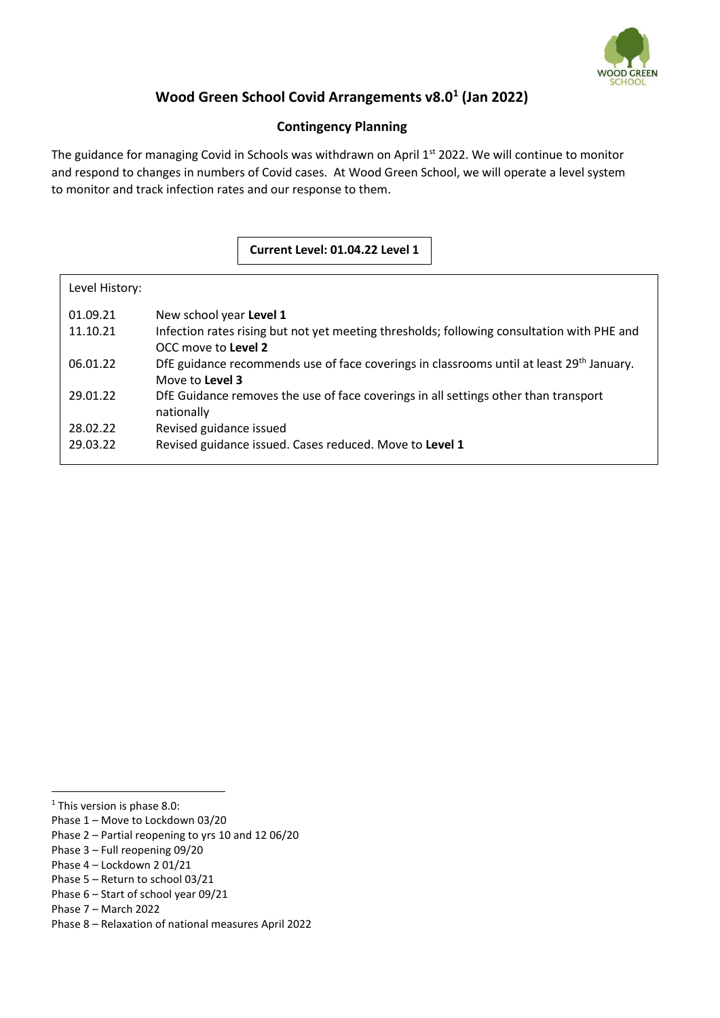

# **Wood Green School Covid Arrangements v8.0<sup>1</sup> (Jan 2022)**

## **Contingency Planning**

The guidance for managing Covid in Schools was withdrawn on April 1<sup>st</sup> 2022. We will continue to monitor and respond to changes in numbers of Covid cases. At Wood Green School, we will operate a level system to monitor and track infection rates and our response to them.

### **Current Level: 01.04.22 Level 1**

| Level History: |                                                                                                      |
|----------------|------------------------------------------------------------------------------------------------------|
| 01.09.21       | New school year Level 1                                                                              |
| 11.10.21       | Infection rates rising but not yet meeting thresholds; following consultation with PHE and           |
|                | OCC move to Level 2                                                                                  |
| 06.01.22       | DfE guidance recommends use of face coverings in classrooms until at least 29 <sup>th</sup> January. |
|                | Move to Level 3                                                                                      |
| 29.01.22       | DfE Guidance removes the use of face coverings in all settings other than transport                  |
|                | nationally                                                                                           |
| 28.02.22       | Revised guidance issued                                                                              |
| 29.03.22       | Revised guidance issued. Cases reduced. Move to Level 1                                              |
|                |                                                                                                      |

<sup>&</sup>lt;sup>1</sup> This version is phase 8.0:

Phase 1 – Move to Lockdown 03/20

Phase 2 – Partial reopening to yrs 10 and 12 06/20

Phase 3 – Full reopening 09/20

Phase 4 – Lockdown 2 01/21

Phase 5 – Return to school 03/21

Phase 6 – Start of school year 09/21

Phase 7 – March 2022

Phase 8 – Relaxation of national measures April 2022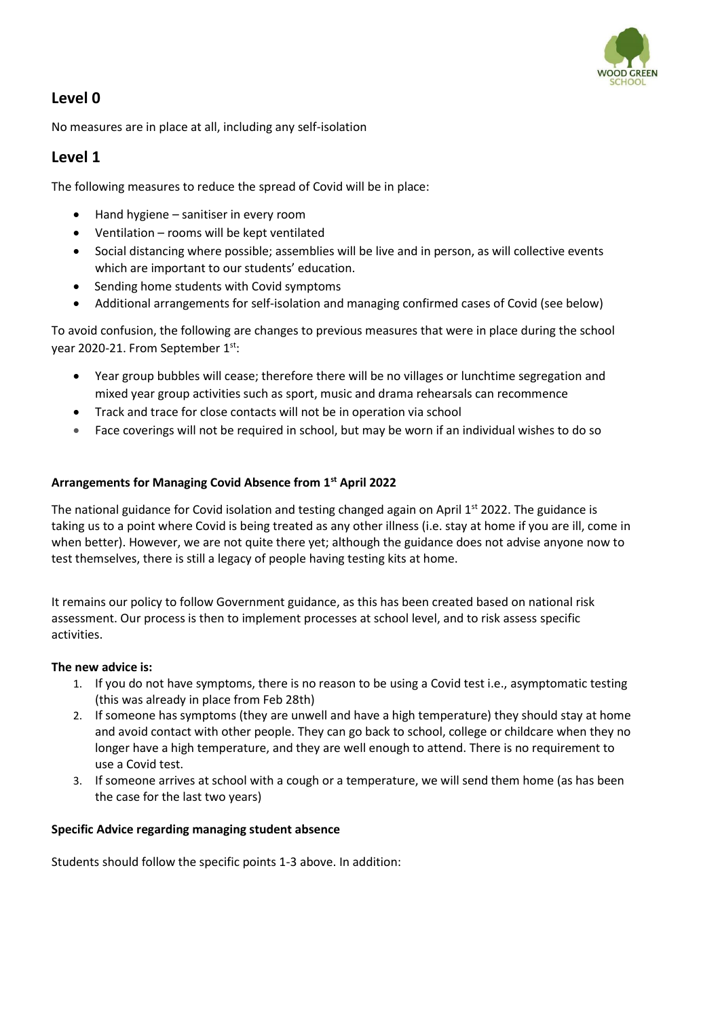

# **Level 0**

No measures are in place at all, including any self-isolation

# **Level 1**

The following measures to reduce the spread of Covid will be in place:

- Hand hygiene sanitiser in every room
- Ventilation rooms will be kept ventilated
- Social distancing where possible; assemblies will be live and in person, as will collective events which are important to our students' education.
- Sending home students with Covid symptoms
- Additional arrangements for self-isolation and managing confirmed cases of Covid (see below)

To avoid confusion, the following are changes to previous measures that were in place during the school year 2020-21. From September 1<sup>st</sup>:

- Year group bubbles will cease; therefore there will be no villages or lunchtime segregation and mixed year group activities such as sport, music and drama rehearsals can recommence
- Track and trace for close contacts will not be in operation via school
- Face coverings will not be required in school, but may be worn if an individual wishes to do so

#### **Arrangements for Managing Covid Absence from 1st April 2022**

The national guidance for Covid isolation and testing changed again on April  $1<sup>st</sup>$  2022. The guidance is taking us to a point where Covid is being treated as any other illness (i.e. stay at home if you are ill, come in when better). However, we are not quite there yet; although the guidance does not advise anyone now to test themselves, there is still a legacy of people having testing kits at home.

It remains our policy to follow Government guidance, as this has been created based on national risk assessment. Our process is then to implement processes at school level, and to risk assess specific activities.

#### **The new advice is:**

- 1. If you do not have symptoms, there is no reason to be using a Covid test i.e., asymptomatic testing (this was already in place from Feb 28th)
- 2. If someone has symptoms (they are unwell and have a high temperature) they should stay at home and avoid contact with other people. They can go back to school, college or childcare when they no longer have a high temperature, and they are well enough to attend. There is no requirement to use a Covid test.
- 3. If someone arrives at school with a cough or a temperature, we will send them home (as has been the case for the last two years)

#### **Specific Advice regarding managing student absence**

Students should follow the specific points 1-3 above. In addition: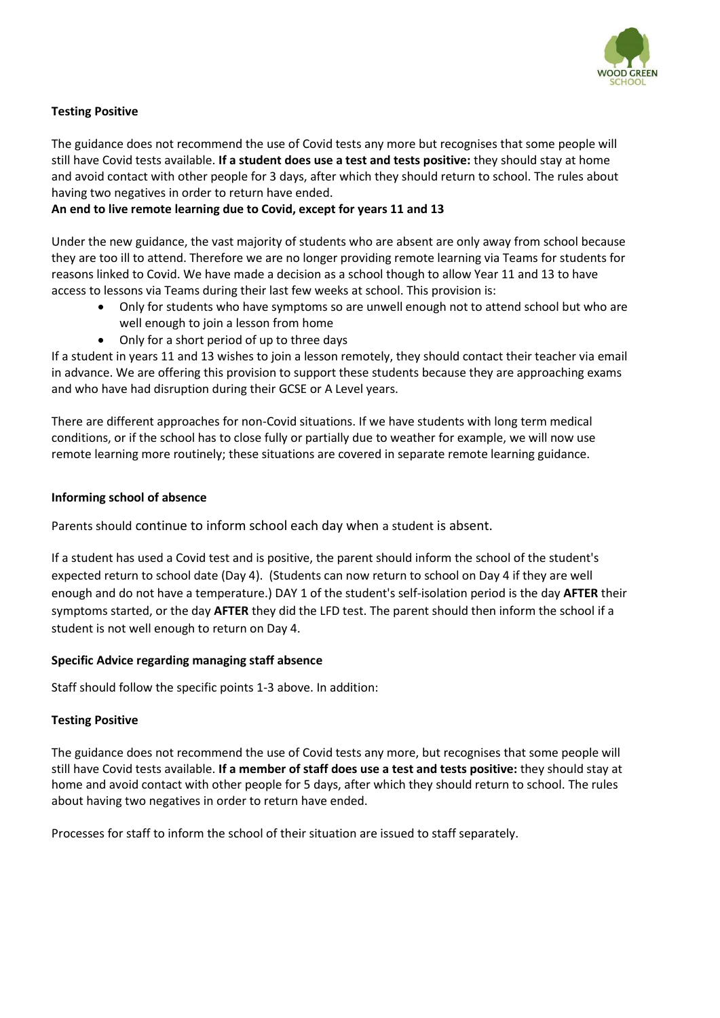

## **Testing Positive**

The guidance does not recommend the use of Covid tests any more but recognises that some people will still have Covid tests available. **If a student does use a test and tests positive:** they should stay at home and avoid contact with other people for 3 days, after which they should return to school. The rules about having two negatives in order to return have ended.

## **An end to live remote learning due to Covid, except for years 11 and 13**

Under the new guidance, the vast majority of students who are absent are only away from school because they are too ill to attend. Therefore we are no longer providing remote learning via Teams for students for reasons linked to Covid. We have made a decision as a school though to allow Year 11 and 13 to have access to lessons via Teams during their last few weeks at school. This provision is:

- Only for students who have symptoms so are unwell enough not to attend school but who are well enough to join a lesson from home
- Only for a short period of up to three days

If a student in years 11 and 13 wishes to join a lesson remotely, they should contact their teacher via email in advance. We are offering this provision to support these students because they are approaching exams and who have had disruption during their GCSE or A Level years.

There are different approaches for non-Covid situations. If we have students with long term medical conditions, or if the school has to close fully or partially due to weather for example, we will now use remote learning more routinely; these situations are covered in separate remote learning guidance.

#### **Informing school of absence**

Parents should continue to inform school each day when a student is absent.

If a student has used a Covid test and is positive, the parent should inform the school of the student's expected return to school date (Day 4). (Students can now return to school on Day 4 if they are well enough and do not have a temperature.) DAY 1 of the student's self-isolation period is the day **AFTER** their symptoms started, or the day **AFTER** they did the LFD test. The parent should then inform the school if a student is not well enough to return on Day 4.

### **Specific Advice regarding managing staff absence**

Staff should follow the specific points 1-3 above. In addition:

### **Testing Positive**

The guidance does not recommend the use of Covid tests any more, but recognises that some people will still have Covid tests available. **If a member of staff does use a test and tests positive:** they should stay at home and avoid contact with other people for 5 days, after which they should return to school. The rules about having two negatives in order to return have ended.

Processes for staff to inform the school of their situation are issued to staff separately.